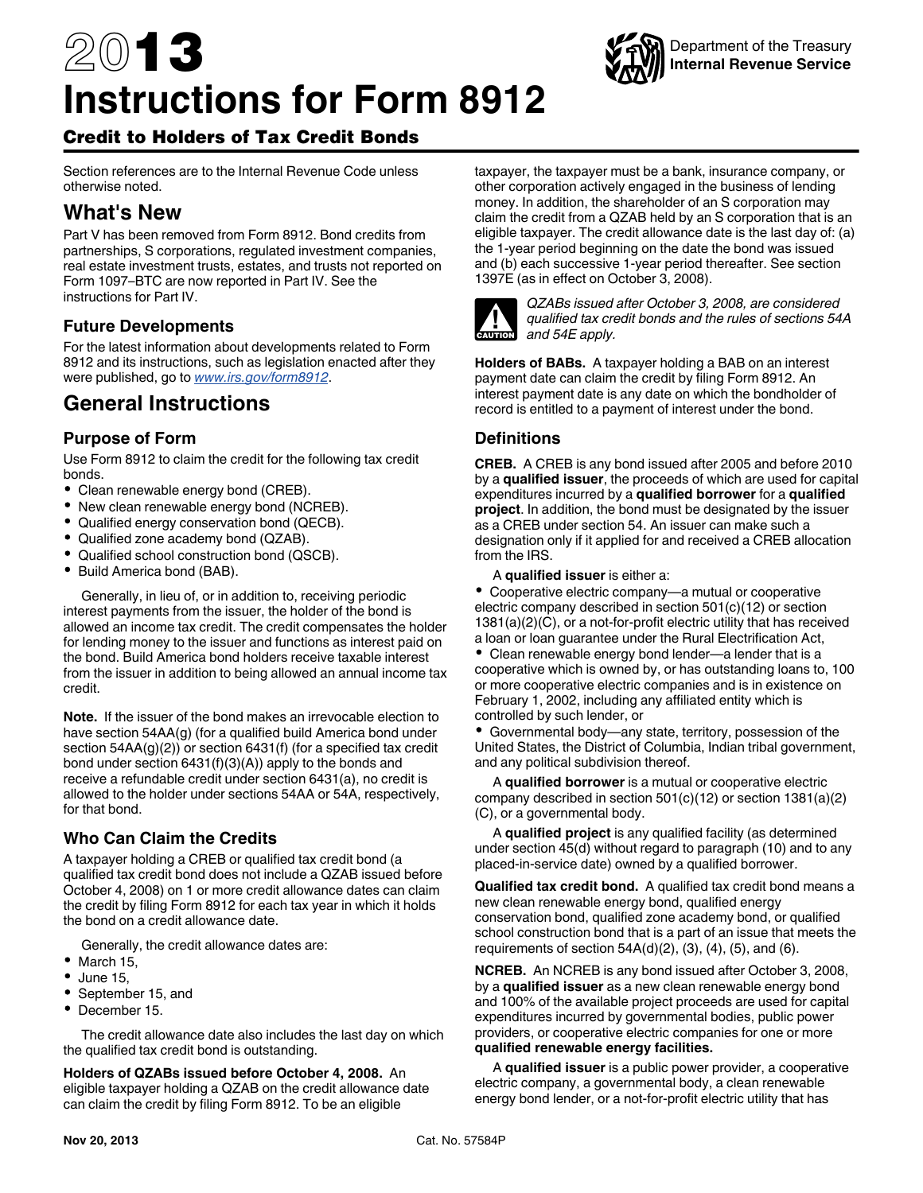# 2013 **Instructions for Form 8912**



# Credit to Holders of Tax Credit Bonds

Section references are to the Internal Revenue Code unless otherwise noted.

# **What's New**

Part V has been removed from Form 8912. Bond credits from partnerships, S corporations, regulated investment companies, real estate investment trusts, estates, and trusts not reported on Form 1097–BTC are now reported in Part IV. See the instructions for Part IV.

# **Future Developments**

For the latest information about developments related to Form 8912 and its instructions, such as legislation enacted after they were published, go to *[www.irs.gov/form8912](http://www.irs.gov/form8912)*.

# **General Instructions**

# **Purpose of Form**

Use Form 8912 to claim the credit for the following tax credit bonds.

- Clean renewable energy bond (CREB).
- New clean renewable energy bond (NCREB).
- Qualified energy conservation bond (QECB).
- Qualified zone academy bond (QZAB).
- Qualified school construction bond (QSCB).
- $\bullet$ Build America bond (BAB).

Generally, in lieu of, or in addition to, receiving periodic interest payments from the issuer, the holder of the bond is allowed an income tax credit. The credit compensates the holder for lending money to the issuer and functions as interest paid on the bond. Build America bond holders receive taxable interest from the issuer in addition to being allowed an annual income tax credit.

**Note.** If the issuer of the bond makes an irrevocable election to have section 54AA(g) (for a qualified build America bond under section 54AA(g)(2)) or section 6431(f) (for a specified tax credit bond under section 6431(f)(3)(A)) apply to the bonds and receive a refundable credit under section 6431(a), no credit is allowed to the holder under sections 54AA or 54A, respectively, for that bond.

# **Who Can Claim the Credits**

A taxpayer holding a CREB or qualified tax credit bond (a qualified tax credit bond does not include a QZAB issued before October 4, 2008) on 1 or more credit allowance dates can claim the credit by filing Form 8912 for each tax year in which it holds the bond on a credit allowance date.

Generally, the credit allowance dates are:

- March 15,
- June 15,
- September 15, and
- December 15.

The credit allowance date also includes the last day on which the qualified tax credit bond is outstanding.

**Holders of QZABs issued before October 4, 2008.** An eligible taxpayer holding a QZAB on the credit allowance date can claim the credit by filing Form 8912. To be an eligible

taxpayer, the taxpayer must be a bank, insurance company, or other corporation actively engaged in the business of lending money. In addition, the shareholder of an S corporation may claim the credit from a QZAB held by an S corporation that is an eligible taxpayer. The credit allowance date is the last day of: (a) the 1-year period beginning on the date the bond was issued and (b) each successive 1-year period thereafter. See section 1397E (as in effect on October 3, 2008).



*QZABs issued after October 3, 2008, are considered qualified tax credit bonds and the rules of sections 54A and 54E apply.*

**Holders of BABs.** A taxpayer holding a BAB on an interest payment date can claim the credit by filing Form 8912. An interest payment date is any date on which the bondholder of record is entitled to a payment of interest under the bond.

# **Definitions**

**CREB.** A CREB is any bond issued after 2005 and before 2010 by a **qualified issuer**, the proceeds of which are used for capital expenditures incurred by a **qualified borrower** for a **qualified project**. In addition, the bond must be designated by the issuer as a CREB under section 54. An issuer can make such a designation only if it applied for and received a CREB allocation from the IRS.

#### A **qualified issuer** is either a:

Cooperative electric company—a mutual or cooperative electric company described in section 501(c)(12) or section 1381(a)(2)(C), or a not-for-profit electric utility that has received a loan or loan guarantee under the Rural Electrification Act,

Clean renewable energy bond lender—a lender that is a cooperative which is owned by, or has outstanding loans to, 100 or more cooperative electric companies and is in existence on February 1, 2002, including any affiliated entity which is controlled by such lender, or

Governmental body—any state, territory, possession of the United States, the District of Columbia, Indian tribal government, and any political subdivision thereof.

A **qualified borrower** is a mutual or cooperative electric company described in section 501(c)(12) or section 1381(a)(2) (C), or a governmental body.

A **qualified project** is any qualified facility (as determined under section 45(d) without regard to paragraph (10) and to any placed-in-service date) owned by a qualified borrower.

**Qualified tax credit bond.** A qualified tax credit bond means a new clean renewable energy bond, qualified energy conservation bond, qualified zone academy bond, or qualified school construction bond that is a part of an issue that meets the requirements of section  $54A(d)(2)$ ,  $(3)$ ,  $(4)$ ,  $(5)$ , and  $(6)$ .

**NCREB.** An NCREB is any bond issued after October 3, 2008, by a **qualified issuer** as a new clean renewable energy bond and 100% of the available project proceeds are used for capital expenditures incurred by governmental bodies, public power providers, or cooperative electric companies for one or more **qualified renewable energy facilities.**

A **qualified issuer** is a public power provider, a cooperative electric company, a governmental body, a clean renewable energy bond lender, or a not-for-profit electric utility that has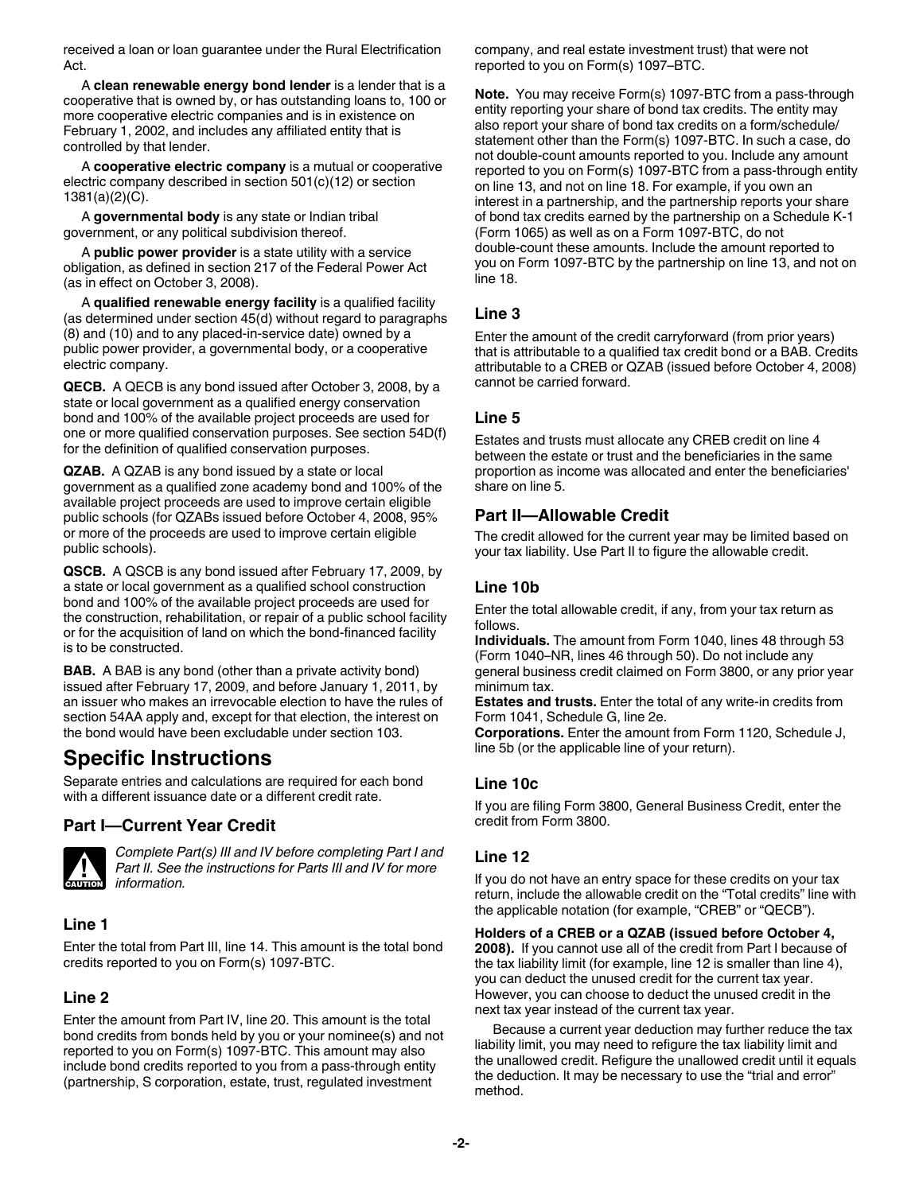received a loan or loan guarantee under the Rural Electrification Act.

A **clean renewable energy bond lender** is a lender that is a cooperative that is owned by, or has outstanding loans to, 100 or more cooperative electric companies and is in existence on February 1, 2002, and includes any affiliated entity that is controlled by that lender.

A **cooperative electric company** is a mutual or cooperative electric company described in section 501(c)(12) or section 1381(a)(2)(C).

A **governmental body** is any state or Indian tribal government, or any political subdivision thereof.

A **public power provider** is a state utility with a service obligation, as defined in section 217 of the Federal Power Act (as in effect on October 3, 2008).

A **qualified renewable energy facility** is a qualified facility (as determined under section 45(d) without regard to paragraphs (8) and (10) and to any placed-in-service date) owned by a public power provider, a governmental body, or a cooperative electric company.

**QECB.** A QECB is any bond issued after October 3, 2008, by a state or local government as a qualified energy conservation bond and 100% of the available project proceeds are used for one or more qualified conservation purposes. See section 54D(f) for the definition of qualified conservation purposes.

**QZAB.** A QZAB is any bond issued by a state or local government as a qualified zone academy bond and 100% of the available project proceeds are used to improve certain eligible public schools (for QZABs issued before October 4, 2008, 95% or more of the proceeds are used to improve certain eligible public schools).

**QSCB.** A QSCB is any bond issued after February 17, 2009, by a state or local government as a qualified school construction bond and 100% of the available project proceeds are used for the construction, rehabilitation, or repair of a public school facility or for the acquisition of land on which the bond-financed facility is to be constructed.

**BAB.** A BAB is any bond (other than a private activity bond) issued after February 17, 2009, and before January 1, 2011, by an issuer who makes an irrevocable election to have the rules of section 54AA apply and, except for that election, the interest on the bond would have been excludable under section 103.

# **Specific Instructions**

Separate entries and calculations are required for each bond with a different issuance date or a different credit rate.

# **Part I—Current Year Credit**



*Complete Part(s) III and IV before completing Part I and Part II. See the instructions for Parts III and IV for more Part II. See*<br> **information.** 

# **Line 1**

Enter the total from Part III, line 14. This amount is the total bond credits reported to you on Form(s) 1097-BTC.

# **Line 2**

Enter the amount from Part IV, line 20. This amount is the total bond credits from bonds held by you or your nominee(s) and not reported to you on Form(s) 1097-BTC. This amount may also include bond credits reported to you from a pass-through entity (partnership, S corporation, estate, trust, regulated investment

company, and real estate investment trust) that were not reported to you on Form(s) 1097–BTC.

**Note.** You may receive Form(s) 1097-BTC from a pass-through entity reporting your share of bond tax credits. The entity may also report your share of bond tax credits on a form/schedule/ statement other than the Form(s) 1097-BTC. In such a case, do not double-count amounts reported to you. Include any amount reported to you on Form(s) 1097-BTC from a pass-through entity on line 13, and not on line 18. For example, if you own an interest in a partnership, and the partnership reports your share of bond tax credits earned by the partnership on a Schedule K-1 (Form 1065) as well as on a Form 1097-BTC, do not double-count these amounts. Include the amount reported to you on Form 1097-BTC by the partnership on line 13, and not on line 18.

# **Line 3**

Enter the amount of the credit carryforward (from prior years) that is attributable to a qualified tax credit bond or a BAB. Credits attributable to a CREB or QZAB (issued before October 4, 2008) cannot be carried forward.

### **Line 5**

Estates and trusts must allocate any CREB credit on line 4 between the estate or trust and the beneficiaries in the same proportion as income was allocated and enter the beneficiaries' share on line 5.

# **Part II—Allowable Credit**

The credit allowed for the current year may be limited based on your tax liability. Use Part II to figure the allowable credit.

# **Line 10b**

Enter the total allowable credit, if any, from your tax return as follows.

**Individuals.** The amount from Form 1040, lines 48 through 53 (Form 1040–NR, lines 46 through 50). Do not include any general business credit claimed on Form 3800, or any prior year minimum tax.

**Estates and trusts.** Enter the total of any write-in credits from Form 1041, Schedule G, line 2e.

**Corporations.** Enter the amount from Form 1120, Schedule J, line 5b (or the applicable line of your return).

# **Line 10c**

If you are filing Form 3800, General Business Credit, enter the credit from Form 3800.

# **Line 12**

If you do not have an entry space for these credits on your tax return, include the allowable credit on the "Total credits" line with the applicable notation (for example, "CREB" or "QECB").

#### **Holders of a CREB or a QZAB (issued before October 4,**

**2008).** If you cannot use all of the credit from Part I because of the tax liability limit (for example, line 12 is smaller than line 4), you can deduct the unused credit for the current tax year. However, you can choose to deduct the unused credit in the next tax year instead of the current tax year.

Because a current year deduction may further reduce the tax liability limit, you may need to refigure the tax liability limit and the unallowed credit. Refigure the unallowed credit until it equals the deduction. It may be necessary to use the "trial and error" method.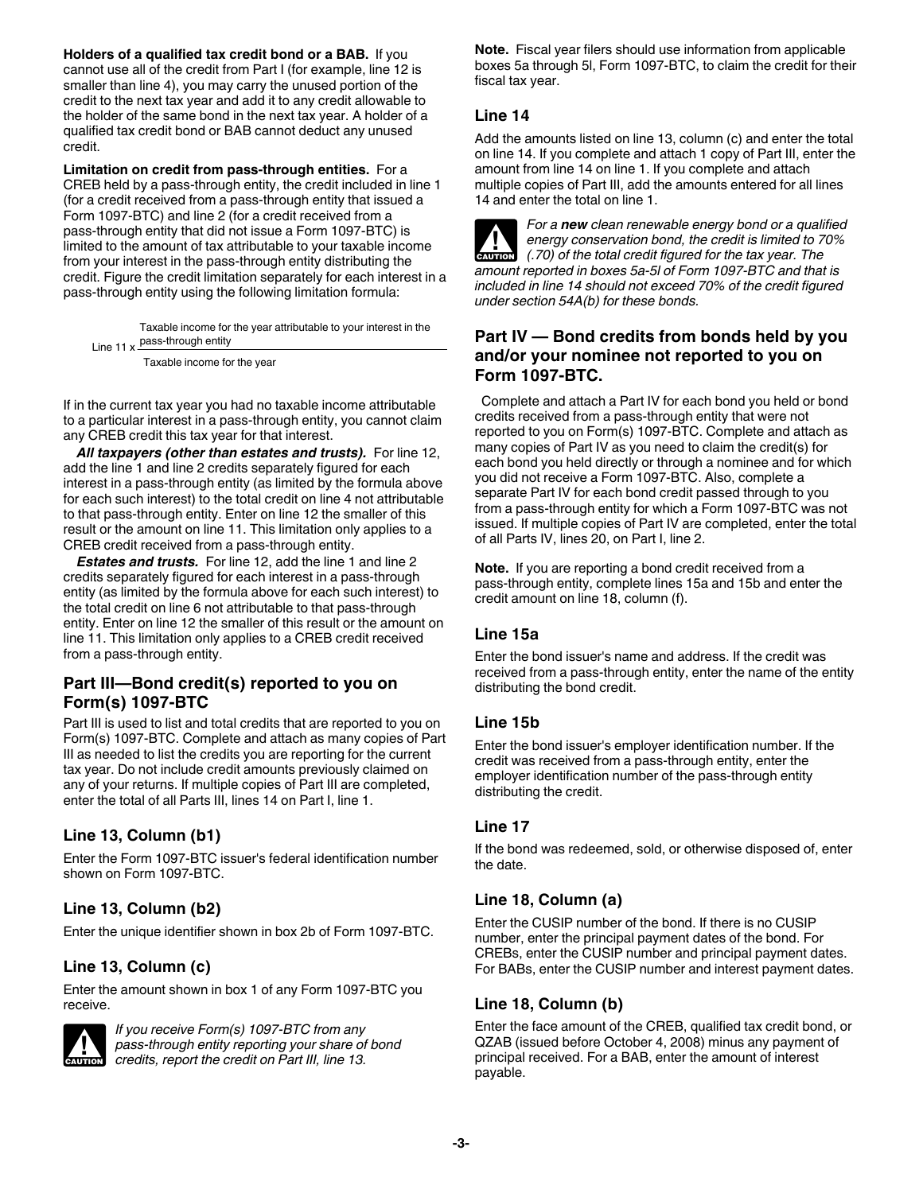**Holders of a qualified tax credit bond or a BAB.** If you cannot use all of the credit from Part I (for example, line 12 is smaller than line 4), you may carry the unused portion of the credit to the next tax year and add it to any credit allowable to the holder of the same bond in the next tax year. A holder of a qualified tax credit bond or BAB cannot deduct any unused credit.

**Limitation on credit from pass-through entities.** For a CREB held by a pass-through entity, the credit included in line 1 (for a credit received from a pass-through entity that issued a Form 1097-BTC) and line 2 (for a credit received from a pass-through entity that did not issue a Form 1097-BTC) is limited to the amount of tax attributable to your taxable income from your interest in the pass-through entity distributing the credit. Figure the credit limitation separately for each interest in a pass-through entity using the following limitation formula:

Line 11 x **pass-through entity** Taxable income for the year attributable to your interest in the

Taxable income for the year

If in the current tax year you had no taxable income attributable to a particular interest in a pass-through entity, you cannot claim any CREB credit this tax year for that interest.

*All taxpayers (other than estates and trusts).* For line 12, add the line 1 and line 2 credits separately figured for each interest in a pass-through entity (as limited by the formula above for each such interest) to the total credit on line 4 not attributable to that pass-through entity. Enter on line 12 the smaller of this result or the amount on line 11. This limitation only applies to a CREB credit received from a pass-through entity.

*Estates and trusts.* For line 12, add the line 1 and line 2 credits separately figured for each interest in a pass-through entity (as limited by the formula above for each such interest) to the total credit on line 6 not attributable to that pass-through entity. Enter on line 12 the smaller of this result or the amount on line 11. This limitation only applies to a CREB credit received from a pass-through entity.

# **Part III—Bond credit(s) reported to you on Form(s) 1097-BTC**

Part III is used to list and total credits that are reported to you on Form(s) 1097-BTC. Complete and attach as many copies of Part III as needed to list the credits you are reporting for the current tax year. Do not include credit amounts previously claimed on any of your returns. If multiple copies of Part III are completed, enter the total of all Parts III, lines 14 on Part I, line 1.

# **Line 13, Column (b1)**

Enter the Form 1097-BTC issuer's federal identification number shown on Form 1097-BTC.

# **Line 13, Column (b2)**

Enter the unique identifier shown in box 2b of Form 1097-BTC.

# **Line 13, Column (c)**

Enter the amount shown in box 1 of any Form 1097-BTC you receive.



*If you receive Form(s) 1097-BTC from any pass-through entity reporting your share of bond credits, report the credit on Part III, line 13.*

**Note.** Fiscal year filers should use information from applicable boxes 5a through 5l, Form 1097-BTC, to claim the credit for their fiscal tax year.

# **Line 14**

Add the amounts listed on line 13, column (c) and enter the total on line 14. If you complete and attach 1 copy of Part III, enter the amount from line 14 on line 1. If you complete and attach multiple copies of Part III, add the amounts entered for all lines 14 and enter the total on line 1.

*For a new clean renewable energy bond or a qualified energy conservation bond, the credit is limited to 70% (.70) of the total credit figured for the tax year. The amount reported in boxes 5a-5l of Form 1097-BTC and that is included in line 14 should not exceed 70% of the credit figured under section 54A(b) for these bonds.* **ALUTION** 

# **Part IV — Bond credits from bonds held by you and/or your nominee not reported to you on Form 1097-BTC.**

Complete and attach a Part IV for each bond you held or bond credits received from a pass-through entity that were not reported to you on Form(s) 1097-BTC. Complete and attach as many copies of Part IV as you need to claim the credit(s) for each bond you held directly or through a nominee and for which you did not receive a Form 1097-BTC. Also, complete a separate Part IV for each bond credit passed through to you from a pass-through entity for which a Form 1097-BTC was not issued. If multiple copies of Part IV are completed, enter the total of all Parts IV, lines 20, on Part I, line 2.

**Note.** If you are reporting a bond credit received from a pass-through entity, complete lines 15a and 15b and enter the credit amount on line 18, column (f).

# **Line 15a**

Enter the bond issuer's name and address. If the credit was received from a pass-through entity, enter the name of the entity distributing the bond credit.

#### **Line 15b**

Enter the bond issuer's employer identification number. If the credit was received from a pass-through entity, enter the employer identification number of the pass-through entity distributing the credit.

# **Line 17**

If the bond was redeemed, sold, or otherwise disposed of, enter the date.

# **Line 18, Column (a)**

Enter the CUSIP number of the bond. If there is no CUSIP number, enter the principal payment dates of the bond. For CREBs, enter the CUSIP number and principal payment dates. For BABs, enter the CUSIP number and interest payment dates.

# **Line 18, Column (b)**

Enter the face amount of the CREB, qualified tax credit bond, or QZAB (issued before October 4, 2008) minus any payment of principal received. For a BAB, enter the amount of interest payable.